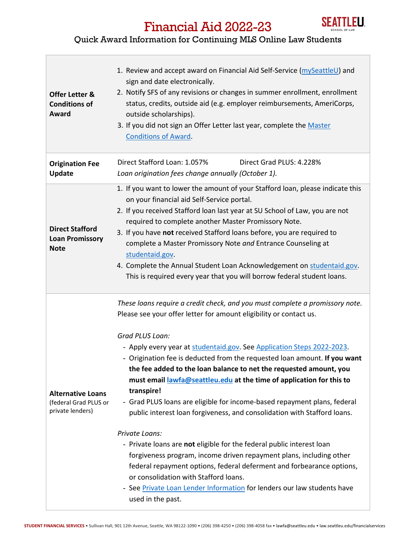

## Financial Aid 2022-23

## Quick Award Information for Continuing MLS Online Law Students

| <b>Offer Letter &amp;</b><br><b>Conditions of</b><br>Award            | 1. Review and accept award on Financial Aid Self-Service (mySeattleU) and<br>sign and date electronically.<br>2. Notify SFS of any revisions or changes in summer enrollment, enrollment<br>status, credits, outside aid (e.g. employer reimbursements, AmeriCorps,<br>outside scholarships).<br>3. If you did not sign an Offer Letter last year, complete the Master<br><b>Conditions of Award.</b>                                                                                                                                                                                                                                                                                                                                                                                                                                                                                                                                                                                                                                |
|-----------------------------------------------------------------------|--------------------------------------------------------------------------------------------------------------------------------------------------------------------------------------------------------------------------------------------------------------------------------------------------------------------------------------------------------------------------------------------------------------------------------------------------------------------------------------------------------------------------------------------------------------------------------------------------------------------------------------------------------------------------------------------------------------------------------------------------------------------------------------------------------------------------------------------------------------------------------------------------------------------------------------------------------------------------------------------------------------------------------------|
| <b>Origination Fee</b><br><b>Update</b>                               | Direct Stafford Loan: 1.057%<br>Direct Grad PLUS: 4.228%<br>Loan origination fees change annually (October 1).                                                                                                                                                                                                                                                                                                                                                                                                                                                                                                                                                                                                                                                                                                                                                                                                                                                                                                                       |
| <b>Direct Stafford</b><br><b>Loan Promissory</b><br><b>Note</b>       | 1. If you want to lower the amount of your Stafford loan, please indicate this<br>on your financial aid Self-Service portal.<br>2. If you received Stafford loan last year at SU School of Law, you are not<br>required to complete another Master Promissory Note.<br>3. If you have not received Stafford loans before, you are required to<br>complete a Master Promissory Note and Entrance Counseling at<br>studentaid.gov.<br>4. Complete the Annual Student Loan Acknowledgement on studentaid.gov.<br>This is required every year that you will borrow federal student loans.                                                                                                                                                                                                                                                                                                                                                                                                                                                |
| <b>Alternative Loans</b><br>(federal Grad PLUS or<br>private lenders) | These loans require a credit check, and you must complete a promissory note.<br>Please see your offer letter for amount eligibility or contact us.<br>Grad PLUS Loan:<br>- Apply every year at studentaid.gov. See Application Steps 2022-2023.<br>- Origination fee is deducted from the requested loan amount. If you want<br>the fee added to the loan balance to net the requested amount, you<br>must email lawfa@seattleu.edu at the time of application for this to<br>transpire!<br>- Grad PLUS loans are eligible for income-based repayment plans, federal<br>public interest loan forgiveness, and consolidation with Stafford loans.<br>Private Loans:<br>- Private loans are not eligible for the federal public interest loan<br>forgiveness program, income driven repayment plans, including other<br>federal repayment options, federal deferment and forbearance options,<br>or consolidation with Stafford loans.<br>- See Private Loan Lender Information for lenders our law students have<br>used in the past. |